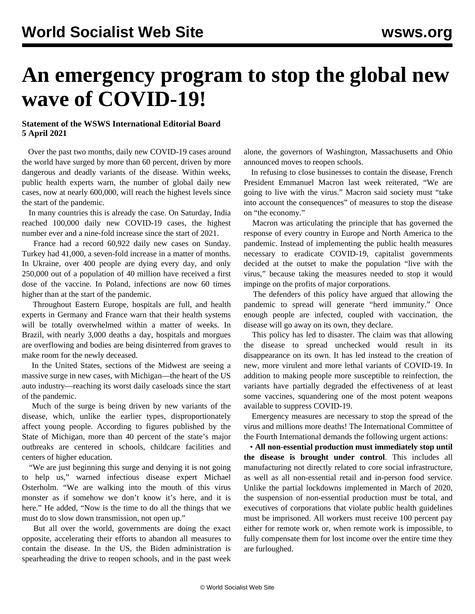## **An emergency program to stop the global new wave of COVID-19!**

## **Statement of the WSWS International Editorial Board 5 April 2021**

 Over the past two months, daily new COVID-19 cases around the world have surged by more than 60 percent, driven by more dangerous and deadly variants of the disease. Within weeks, public health experts warn, the number of global daily new cases, now at nearly 600,000, will reach the highest levels since the start of the pandemic.

 In many countries this is already the case. On Saturday, India reached 100,000 daily new COVID-19 cases, the highest number ever and a nine-fold increase since the start of 2021.

 France had a record 60,922 daily new cases on Sunday. Turkey had 41,000, a seven-fold increase in a matter of months. In Ukraine, over 400 people are dying every day, and only 250,000 out of a population of 40 million have received a first dose of the vaccine. In Poland, infections are now 60 times higher than at the start of the pandemic.

 Throughout Eastern Europe, hospitals are full, and health experts in Germany and France warn that their health systems will be totally overwhelmed within a matter of weeks. In Brazil, with nearly 3,000 deaths a day, hospitals and morgues are overflowing and bodies are being disinterred from graves to make room for the newly deceased.

 In the United States, sections of the Midwest are seeing a massive surge in new cases, with Michigan—the heart of the US auto industry—reaching its worst daily caseloads since the start of the pandemic.

 Much of the surge is being driven by new variants of the disease, which, unlike the earlier types, disproportionately affect young people. According to figures published by the State of Michigan, more than 40 percent of the state's major outbreaks are centered in schools, childcare facilities and centers of higher education.

 "We are just beginning this surge and denying it is not going to help us," warned infectious disease expert Michael Osterholm. "We are walking into the mouth of this virus monster as if somehow we don't know it's here, and it is here." He added, "Now is the time to do all the things that we must do to slow down transmission, not open up."

 But all over the world, governments are doing the exact opposite, accelerating their efforts to abandon all measures to contain the disease. In the US, the Biden administration is spearheading the drive to reopen schools, and in the past week alone, the governors of Washington, Massachusetts and Ohio announced moves to reopen schools.

 In refusing to close businesses to contain the disease, French President Emmanuel Macron last week reiterated, "We are going to live with the virus." Macron said society must "take into account the consequences" of measures to stop the disease on "the economy."

 Macron was articulating the principle that has governed the response of every country in Europe and North America to the pandemic. Instead of implementing the public health measures necessary to eradicate COVID-19, capitalist governments decided at the outset to make the population "live with the virus," because taking the measures needed to stop it would impinge on the profits of major corporations.

 The defenders of this policy have argued that allowing the pandemic to spread will generate "herd immunity." Once enough people are infected, coupled with vaccination, the disease will go away on its own, they declare.

 This policy has led to disaster. The claim was that allowing the disease to spread unchecked would result in its disappearance on its own. It has led instead to the creation of new, more virulent and more lethal variants of COVID-19. In addition to making people more susceptible to reinfection, the variants have partially degraded the effectiveness of at least some vaccines, squandering one of the most potent weapons available to suppress COVID-19.

 Emergency measures are necessary to stop the spread of the virus and millions more deaths! The International Committee of the Fourth International demands the following urgent actions:

 • **All non-essential production must immediately stop until the disease is brought under control**. This includes all manufacturing not directly related to core social infrastructure, as well as all non-essential retail and in-person food service. Unlike the partial lockdowns implemented in March of 2020, the suspension of non-essential production must be total, and executives of corporations that violate public health guidelines must be imprisoned. All workers must receive 100 percent pay either for remote work or, when remote work is impossible, to fully compensate them for lost income over the entire time they are furloughed.